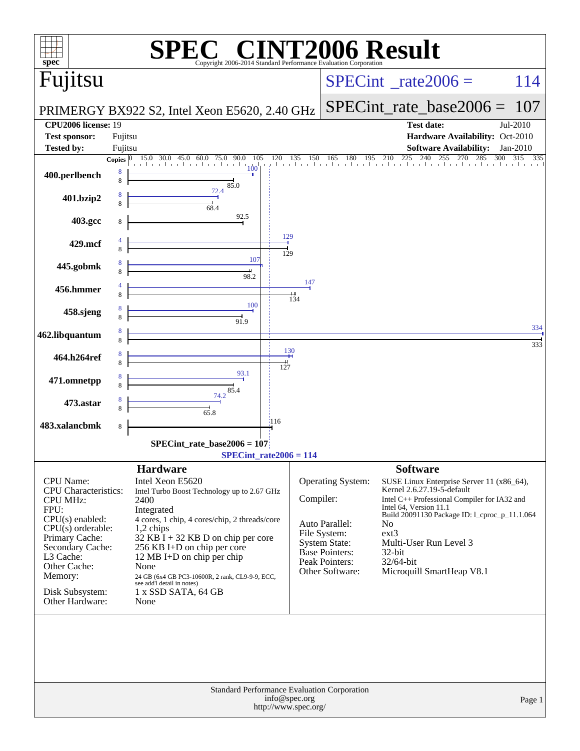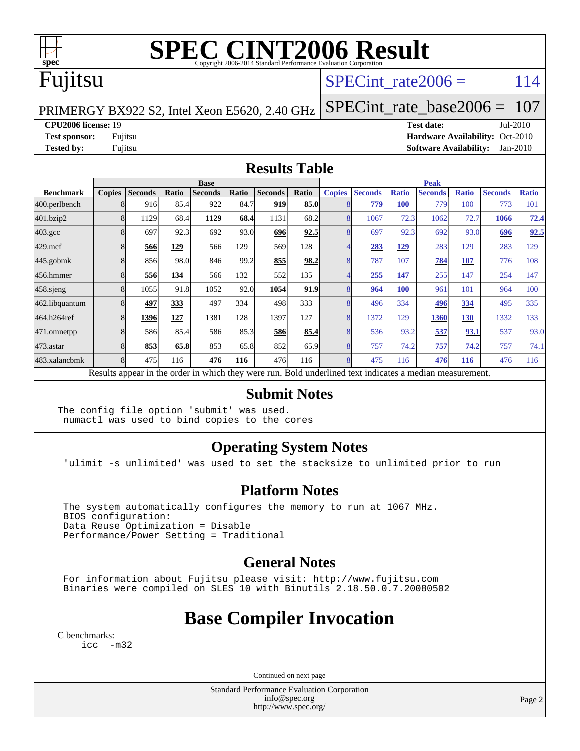

# **[SPEC CINT2006 Result](http://www.spec.org/auto/cpu2006/Docs/result-fields.html#SPECCINT2006Result)**

## Fujitsu

## SPECint rate $2006 = 114$

PRIMERGY BX922 S2, Intel Xeon E5620, 2.40 GHz

[SPECint\\_rate\\_base2006 =](http://www.spec.org/auto/cpu2006/Docs/result-fields.html#SPECintratebase2006) 107

**[CPU2006 license:](http://www.spec.org/auto/cpu2006/Docs/result-fields.html#CPU2006license)** 19 **[Test date:](http://www.spec.org/auto/cpu2006/Docs/result-fields.html#Testdate)** Jul-2010

**[Test sponsor:](http://www.spec.org/auto/cpu2006/Docs/result-fields.html#Testsponsor)** Fujitsu **[Hardware Availability:](http://www.spec.org/auto/cpu2006/Docs/result-fields.html#HardwareAvailability)** Oct-2010 **[Tested by:](http://www.spec.org/auto/cpu2006/Docs/result-fields.html#Testedby)** Fujitsu **[Software Availability:](http://www.spec.org/auto/cpu2006/Docs/result-fields.html#SoftwareAvailability)** Jan-2010

### **[Results Table](http://www.spec.org/auto/cpu2006/Docs/result-fields.html#ResultsTable)**

|                    | <b>Base</b>   |                |       |                                                                                                          |       |                |       |               | <b>Peak</b>    |              |                |              |                |              |  |
|--------------------|---------------|----------------|-------|----------------------------------------------------------------------------------------------------------|-------|----------------|-------|---------------|----------------|--------------|----------------|--------------|----------------|--------------|--|
| <b>Benchmark</b>   | <b>Copies</b> | <b>Seconds</b> | Ratio | <b>Seconds</b>                                                                                           | Ratio | <b>Seconds</b> | Ratio | <b>Copies</b> | <b>Seconds</b> | <b>Ratio</b> | <b>Seconds</b> | <b>Ratio</b> | <b>Seconds</b> | <b>Ratio</b> |  |
| 400.perlbench      |               | 916            | 85.4  | 922                                                                                                      | 84.7  | 919            | 85.0  |               | 779            | <b>100</b>   | 779            | 100          | 773            | 101          |  |
| 401.bzip2          |               | 1129           | 68.4  | 1129                                                                                                     | 68.4  | 1131           | 68.2  |               | 1067           | 72.3         | 1062           | 72.7         | 1066           | 72.4         |  |
| $403.\mathrm{gcc}$ |               | 697            | 92.3  | 692                                                                                                      | 93.0  | 696            | 92.5  |               | 697            | 92.3         | 692            | 93.0         | 696            | 92.5         |  |
| $429$ .mcf         |               | 566            | 129   | 566                                                                                                      | 129   | 569            | 128   |               | 283            | 129          | 283            | 129          | 283            | 129          |  |
| $445$ .gobmk       |               | 856            | 98.0  | 846                                                                                                      | 99.2  | 855            | 98.2  |               | 787            | 107          | 784            | 107          | 776            | 108          |  |
| 456.hmmer          |               | 556            | 134   | 566                                                                                                      | 132   | 552            | 135   |               | 255            | 147          | 255            | 147          | 254            | 147          |  |
| $458$ .sjeng       | 8             | 1055           | 91.8  | 1052                                                                                                     | 92.0  | 1054           | 91.9  |               | 964            | 100          | 961            | 101          | 964            | 100          |  |
| 462.libquantum     |               | 497            | 333   | 497                                                                                                      | 334   | 498            | 333   |               | 496            | 334          | 496            | 334          | 495            | 335          |  |
| 464.h264ref        |               | 1396           | 127   | 1381                                                                                                     | 128   | 1397           | 127   |               | 1372           | 129          | 1360           | <u>130</u>   | 1332           | 133          |  |
| 471.omnetpp        |               | 586            | 85.4  | 586                                                                                                      | 85.3  | 586            | 85.4  |               | 536            | 93.2         | 537            | 93.1         | 537            | 93.0         |  |
| $473$ . astar      |               | 853            | 65.8  | 853                                                                                                      | 65.8  | 852            | 65.9  |               | 757            | 74.2         | 757            | 74.2         | 757            | 74.1         |  |
| 483.xalancbmk      |               | 475            | 116   | 476                                                                                                      | 116   | 476            | 116   |               | 475            | 116          | 476            | 116          | 476            | 116          |  |
|                    |               |                |       | Results appear in the order in which they were run. Bold underlined text indicates a median measurement. |       |                |       |               |                |              |                |              |                |              |  |

#### **[Submit Notes](http://www.spec.org/auto/cpu2006/Docs/result-fields.html#SubmitNotes)**

The config file option 'submit' was used. numactl was used to bind copies to the cores

## **[Operating System Notes](http://www.spec.org/auto/cpu2006/Docs/result-fields.html#OperatingSystemNotes)**

'ulimit -s unlimited' was used to set the stacksize to unlimited prior to run

#### **[Platform Notes](http://www.spec.org/auto/cpu2006/Docs/result-fields.html#PlatformNotes)**

 The system automatically configures the memory to run at 1067 MHz. BIOS configuration: Data Reuse Optimization = Disable Performance/Power Setting = Traditional

## **[General Notes](http://www.spec.org/auto/cpu2006/Docs/result-fields.html#GeneralNotes)**

 For information about Fujitsu please visit: <http://www.fujitsu.com> Binaries were compiled on SLES 10 with Binutils 2.18.50.0.7.20080502

# **[Base Compiler Invocation](http://www.spec.org/auto/cpu2006/Docs/result-fields.html#BaseCompilerInvocation)**

[C benchmarks](http://www.spec.org/auto/cpu2006/Docs/result-fields.html#Cbenchmarks): [icc -m32](http://www.spec.org/cpu2006/results/res2010q3/cpu2006-20100716-12456.flags.html#user_CCbase_intel_icc_32bit_5ff4a39e364c98233615fdd38438c6f2)

Continued on next page

Standard Performance Evaluation Corporation [info@spec.org](mailto:info@spec.org) <http://www.spec.org/>

Page 2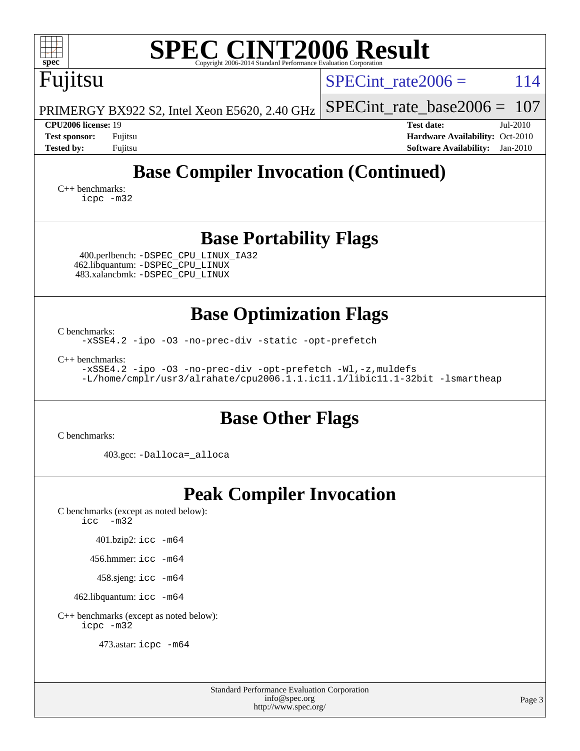| <b>SPEC CINT2006 Result</b><br>spec<br>Copyright 2006-2014 Standard Performance Evaluation Corporation                                                             |                                                                                                                 |  |  |  |  |  |  |  |
|--------------------------------------------------------------------------------------------------------------------------------------------------------------------|-----------------------------------------------------------------------------------------------------------------|--|--|--|--|--|--|--|
| Fujitsu                                                                                                                                                            | 114<br>$SPECint rate 2006 =$                                                                                    |  |  |  |  |  |  |  |
| PRIMERGY BX922 S2, Intel Xeon E5620, 2.40 GHz                                                                                                                      | $SPECint_rate_base2006 =$<br>107                                                                                |  |  |  |  |  |  |  |
| <b>CPU2006 license: 19</b><br><b>Test sponsor:</b><br>Fujitsu<br><b>Tested by:</b><br>Fujitsu                                                                      | <b>Test date:</b><br>Jul-2010<br>Hardware Availability: Oct-2010<br><b>Software Availability:</b><br>$Jan-2010$ |  |  |  |  |  |  |  |
| <b>Base Compiler Invocation (Continued)</b><br>$C_{++}$ benchmarks:<br>icpc -m32                                                                                   |                                                                                                                 |  |  |  |  |  |  |  |
| <b>Base Portability Flags</b>                                                                                                                                      |                                                                                                                 |  |  |  |  |  |  |  |
| 400.perlbench: -DSPEC_CPU_LINUX_IA32<br>462.libquantum: - DSPEC_CPU_LINUX<br>483.xalancbmk: -DSPEC_CPU_LINUX                                                       |                                                                                                                 |  |  |  |  |  |  |  |
| <b>Base Optimization Flags</b>                                                                                                                                     |                                                                                                                 |  |  |  |  |  |  |  |
| C benchmarks:<br>-xSSE4.2 -ipo -03 -no-prec-div -static -opt-prefetch                                                                                              |                                                                                                                 |  |  |  |  |  |  |  |
| $C_{++}$ benchmarks:<br>-xSSE4.2 -ipo -03 -no-prec-div -opt-prefetch -Wl,-z, muldefs<br>-L/home/cmplr/usr3/alrahate/cpu2006.1.1.ic11.1/libic11.1-32bit -lsmartheap |                                                                                                                 |  |  |  |  |  |  |  |
| <b>Base Other Flags</b>                                                                                                                                            |                                                                                                                 |  |  |  |  |  |  |  |
| C benchmarks:                                                                                                                                                      |                                                                                                                 |  |  |  |  |  |  |  |
| 403.gcc: -Dalloca=_alloca                                                                                                                                          |                                                                                                                 |  |  |  |  |  |  |  |
| <b>Peak Compiler Invocation</b><br>C benchmarks (except as noted below):<br>$\text{icc}$ -m32                                                                      |                                                                                                                 |  |  |  |  |  |  |  |
| 401.bzip2: icc -m64                                                                                                                                                |                                                                                                                 |  |  |  |  |  |  |  |
| 456.hmmer: icc -m64                                                                                                                                                |                                                                                                                 |  |  |  |  |  |  |  |
| 458.sjeng: icc -m64                                                                                                                                                |                                                                                                                 |  |  |  |  |  |  |  |
| 462.libquantum: icc -m64                                                                                                                                           |                                                                                                                 |  |  |  |  |  |  |  |
| C++ benchmarks (except as noted below):<br>icpc -m32                                                                                                               |                                                                                                                 |  |  |  |  |  |  |  |
| 473.astar: icpc -m64                                                                                                                                               |                                                                                                                 |  |  |  |  |  |  |  |

Standard Performance Evaluation Corporation [info@spec.org](mailto:info@spec.org) <http://www.spec.org/>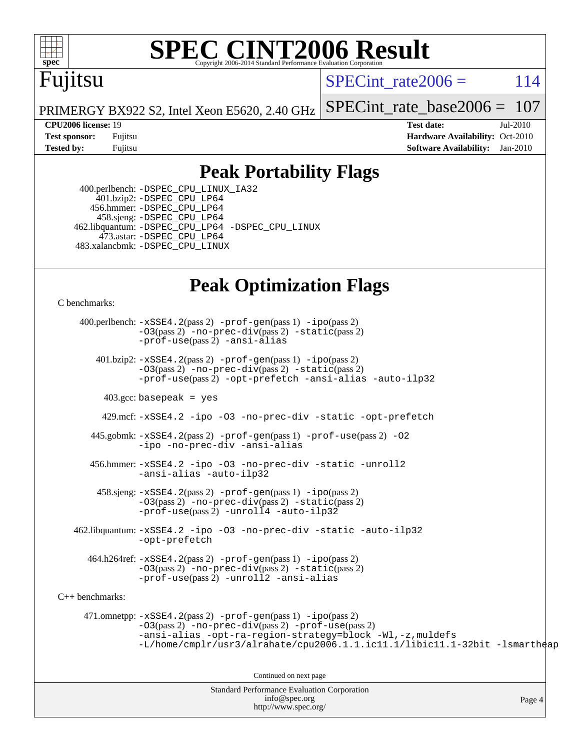

# **[SPEC CINT2006 Result](http://www.spec.org/auto/cpu2006/Docs/result-fields.html#SPECCINT2006Result)**

# Fujitsu

SPECint rate $2006 = 114$ 

Page 4

PRIMERGY BX922 S2, Intel Xeon E5620, 2.40 GHz [SPECint\\_rate\\_base2006 =](http://www.spec.org/auto/cpu2006/Docs/result-fields.html#SPECintratebase2006) 107

**[CPU2006 license:](http://www.spec.org/auto/cpu2006/Docs/result-fields.html#CPU2006license)** 19 **[Test date:](http://www.spec.org/auto/cpu2006/Docs/result-fields.html#Testdate)** Jul-2010 **[Test sponsor:](http://www.spec.org/auto/cpu2006/Docs/result-fields.html#Testsponsor)** Fujitsu **[Hardware Availability:](http://www.spec.org/auto/cpu2006/Docs/result-fields.html#HardwareAvailability)** Oct-2010 **[Tested by:](http://www.spec.org/auto/cpu2006/Docs/result-fields.html#Testedby)** Fujitsu **[Software Availability:](http://www.spec.org/auto/cpu2006/Docs/result-fields.html#SoftwareAvailability)** Jan-2010

## **[Peak Portability Flags](http://www.spec.org/auto/cpu2006/Docs/result-fields.html#PeakPortabilityFlags)**

 400.perlbench: [-DSPEC\\_CPU\\_LINUX\\_IA32](http://www.spec.org/cpu2006/results/res2010q3/cpu2006-20100716-12456.flags.html#b400.perlbench_peakCPORTABILITY_DSPEC_CPU_LINUX_IA32) 401.bzip2: [-DSPEC\\_CPU\\_LP64](http://www.spec.org/cpu2006/results/res2010q3/cpu2006-20100716-12456.flags.html#suite_peakCPORTABILITY401_bzip2_DSPEC_CPU_LP64) 456.hmmer: [-DSPEC\\_CPU\\_LP64](http://www.spec.org/cpu2006/results/res2010q3/cpu2006-20100716-12456.flags.html#suite_peakCPORTABILITY456_hmmer_DSPEC_CPU_LP64) 458.sjeng: [-DSPEC\\_CPU\\_LP64](http://www.spec.org/cpu2006/results/res2010q3/cpu2006-20100716-12456.flags.html#suite_peakCPORTABILITY458_sjeng_DSPEC_CPU_LP64) 462.libquantum: [-DSPEC\\_CPU\\_LP64](http://www.spec.org/cpu2006/results/res2010q3/cpu2006-20100716-12456.flags.html#suite_peakCPORTABILITY462_libquantum_DSPEC_CPU_LP64) [-DSPEC\\_CPU\\_LINUX](http://www.spec.org/cpu2006/results/res2010q3/cpu2006-20100716-12456.flags.html#b462.libquantum_peakCPORTABILITY_DSPEC_CPU_LINUX) 473.astar: [-DSPEC\\_CPU\\_LP64](http://www.spec.org/cpu2006/results/res2010q3/cpu2006-20100716-12456.flags.html#suite_peakCXXPORTABILITY473_astar_DSPEC_CPU_LP64) 483.xalancbmk: [-DSPEC\\_CPU\\_LINUX](http://www.spec.org/cpu2006/results/res2010q3/cpu2006-20100716-12456.flags.html#b483.xalancbmk_peakCXXPORTABILITY_DSPEC_CPU_LINUX)

## **[Peak Optimization Flags](http://www.spec.org/auto/cpu2006/Docs/result-fields.html#PeakOptimizationFlags)**

[C benchmarks](http://www.spec.org/auto/cpu2006/Docs/result-fields.html#Cbenchmarks):

Standard Performance Evaluation Corporation 400.perlbench: [-xSSE4.2](http://www.spec.org/cpu2006/results/res2010q3/cpu2006-20100716-12456.flags.html#user_peakPASS2_CFLAGSPASS2_LDCFLAGS400_perlbench_f-xSSE42_f91528193cf0b216347adb8b939d4107)(pass 2) [-prof-gen](http://www.spec.org/cpu2006/results/res2010q3/cpu2006-20100716-12456.flags.html#user_peakPASS1_CFLAGSPASS1_LDCFLAGS400_perlbench_prof_gen_e43856698f6ca7b7e442dfd80e94a8fc)(pass 1) [-ipo](http://www.spec.org/cpu2006/results/res2010q3/cpu2006-20100716-12456.flags.html#user_peakPASS2_CFLAGSPASS2_LDCFLAGS400_perlbench_f-ipo)(pass 2) [-O3](http://www.spec.org/cpu2006/results/res2010q3/cpu2006-20100716-12456.flags.html#user_peakPASS2_CFLAGSPASS2_LDCFLAGS400_perlbench_f-O3)(pass 2) [-no-prec-div](http://www.spec.org/cpu2006/results/res2010q3/cpu2006-20100716-12456.flags.html#user_peakPASS2_CFLAGSPASS2_LDCFLAGS400_perlbench_f-no-prec-div)(pass 2) [-static](http://www.spec.org/cpu2006/results/res2010q3/cpu2006-20100716-12456.flags.html#user_peakPASS2_CFLAGSPASS2_LDCFLAGS400_perlbench_f-static)(pass 2) [-prof-use](http://www.spec.org/cpu2006/results/res2010q3/cpu2006-20100716-12456.flags.html#user_peakPASS2_CFLAGSPASS2_LDCFLAGS400_perlbench_prof_use_bccf7792157ff70d64e32fe3e1250b55)(pass 2) [-ansi-alias](http://www.spec.org/cpu2006/results/res2010q3/cpu2006-20100716-12456.flags.html#user_peakCOPTIMIZE400_perlbench_f-ansi-alias) 401.bzip2: [-xSSE4.2](http://www.spec.org/cpu2006/results/res2010q3/cpu2006-20100716-12456.flags.html#user_peakPASS2_CFLAGSPASS2_LDCFLAGS401_bzip2_f-xSSE42_f91528193cf0b216347adb8b939d4107)(pass 2) [-prof-gen](http://www.spec.org/cpu2006/results/res2010q3/cpu2006-20100716-12456.flags.html#user_peakPASS1_CFLAGSPASS1_LDCFLAGS401_bzip2_prof_gen_e43856698f6ca7b7e442dfd80e94a8fc)(pass 1) [-ipo](http://www.spec.org/cpu2006/results/res2010q3/cpu2006-20100716-12456.flags.html#user_peakPASS2_CFLAGSPASS2_LDCFLAGS401_bzip2_f-ipo)(pass 2) [-O3](http://www.spec.org/cpu2006/results/res2010q3/cpu2006-20100716-12456.flags.html#user_peakPASS2_CFLAGSPASS2_LDCFLAGS401_bzip2_f-O3)(pass 2) [-no-prec-div](http://www.spec.org/cpu2006/results/res2010q3/cpu2006-20100716-12456.flags.html#user_peakPASS2_CFLAGSPASS2_LDCFLAGS401_bzip2_f-no-prec-div)(pass 2) [-static](http://www.spec.org/cpu2006/results/res2010q3/cpu2006-20100716-12456.flags.html#user_peakPASS2_CFLAGSPASS2_LDCFLAGS401_bzip2_f-static)(pass 2) [-prof-use](http://www.spec.org/cpu2006/results/res2010q3/cpu2006-20100716-12456.flags.html#user_peakPASS2_CFLAGSPASS2_LDCFLAGS401_bzip2_prof_use_bccf7792157ff70d64e32fe3e1250b55)(pass 2) [-opt-prefetch](http://www.spec.org/cpu2006/results/res2010q3/cpu2006-20100716-12456.flags.html#user_peakCOPTIMIZE401_bzip2_f-opt-prefetch) [-ansi-alias](http://www.spec.org/cpu2006/results/res2010q3/cpu2006-20100716-12456.flags.html#user_peakCOPTIMIZE401_bzip2_f-ansi-alias) [-auto-ilp32](http://www.spec.org/cpu2006/results/res2010q3/cpu2006-20100716-12456.flags.html#user_peakCOPTIMIZE401_bzip2_f-auto-ilp32)  $403.\text{gcc: basepeak}$  = yes 429.mcf: [-xSSE4.2](http://www.spec.org/cpu2006/results/res2010q3/cpu2006-20100716-12456.flags.html#user_peakCOPTIMIZE429_mcf_f-xSSE42_f91528193cf0b216347adb8b939d4107) [-ipo](http://www.spec.org/cpu2006/results/res2010q3/cpu2006-20100716-12456.flags.html#user_peakCOPTIMIZE429_mcf_f-ipo) [-O3](http://www.spec.org/cpu2006/results/res2010q3/cpu2006-20100716-12456.flags.html#user_peakCOPTIMIZE429_mcf_f-O3) [-no-prec-div](http://www.spec.org/cpu2006/results/res2010q3/cpu2006-20100716-12456.flags.html#user_peakCOPTIMIZE429_mcf_f-no-prec-div) [-static](http://www.spec.org/cpu2006/results/res2010q3/cpu2006-20100716-12456.flags.html#user_peakCOPTIMIZE429_mcf_f-static) [-opt-prefetch](http://www.spec.org/cpu2006/results/res2010q3/cpu2006-20100716-12456.flags.html#user_peakCOPTIMIZE429_mcf_f-opt-prefetch) 445.gobmk: [-xSSE4.2](http://www.spec.org/cpu2006/results/res2010q3/cpu2006-20100716-12456.flags.html#user_peakPASS2_CFLAGSPASS2_LDCFLAGS445_gobmk_f-xSSE42_f91528193cf0b216347adb8b939d4107)(pass 2) [-prof-gen](http://www.spec.org/cpu2006/results/res2010q3/cpu2006-20100716-12456.flags.html#user_peakPASS1_CFLAGSPASS1_LDCFLAGS445_gobmk_prof_gen_e43856698f6ca7b7e442dfd80e94a8fc)(pass 1) [-prof-use](http://www.spec.org/cpu2006/results/res2010q3/cpu2006-20100716-12456.flags.html#user_peakPASS2_CFLAGSPASS2_LDCFLAGS445_gobmk_prof_use_bccf7792157ff70d64e32fe3e1250b55)(pass 2) [-O2](http://www.spec.org/cpu2006/results/res2010q3/cpu2006-20100716-12456.flags.html#user_peakCOPTIMIZE445_gobmk_f-O2) [-ipo](http://www.spec.org/cpu2006/results/res2010q3/cpu2006-20100716-12456.flags.html#user_peakCOPTIMIZE445_gobmk_f-ipo) [-no-prec-div](http://www.spec.org/cpu2006/results/res2010q3/cpu2006-20100716-12456.flags.html#user_peakCOPTIMIZE445_gobmk_f-no-prec-div) [-ansi-alias](http://www.spec.org/cpu2006/results/res2010q3/cpu2006-20100716-12456.flags.html#user_peakCOPTIMIZE445_gobmk_f-ansi-alias) 456.hmmer: [-xSSE4.2](http://www.spec.org/cpu2006/results/res2010q3/cpu2006-20100716-12456.flags.html#user_peakCOPTIMIZE456_hmmer_f-xSSE42_f91528193cf0b216347adb8b939d4107) [-ipo](http://www.spec.org/cpu2006/results/res2010q3/cpu2006-20100716-12456.flags.html#user_peakCOPTIMIZE456_hmmer_f-ipo) [-O3](http://www.spec.org/cpu2006/results/res2010q3/cpu2006-20100716-12456.flags.html#user_peakCOPTIMIZE456_hmmer_f-O3) [-no-prec-div](http://www.spec.org/cpu2006/results/res2010q3/cpu2006-20100716-12456.flags.html#user_peakCOPTIMIZE456_hmmer_f-no-prec-div) [-static](http://www.spec.org/cpu2006/results/res2010q3/cpu2006-20100716-12456.flags.html#user_peakCOPTIMIZE456_hmmer_f-static) [-unroll2](http://www.spec.org/cpu2006/results/res2010q3/cpu2006-20100716-12456.flags.html#user_peakCOPTIMIZE456_hmmer_f-unroll_784dae83bebfb236979b41d2422d7ec2) [-ansi-alias](http://www.spec.org/cpu2006/results/res2010q3/cpu2006-20100716-12456.flags.html#user_peakCOPTIMIZE456_hmmer_f-ansi-alias) [-auto-ilp32](http://www.spec.org/cpu2006/results/res2010q3/cpu2006-20100716-12456.flags.html#user_peakCOPTIMIZE456_hmmer_f-auto-ilp32)  $458 \text{.}$  sjeng:  $-xSSE4$ .  $2(\text{pass 2})$  -prof-qen(pass 1) [-ipo](http://www.spec.org/cpu2006/results/res2010q3/cpu2006-20100716-12456.flags.html#user_peakPASS2_CFLAGSPASS2_LDCFLAGS458_sjeng_f-ipo)(pass 2) [-O3](http://www.spec.org/cpu2006/results/res2010q3/cpu2006-20100716-12456.flags.html#user_peakPASS2_CFLAGSPASS2_LDCFLAGS458_sjeng_f-O3)(pass 2) [-no-prec-div](http://www.spec.org/cpu2006/results/res2010q3/cpu2006-20100716-12456.flags.html#user_peakPASS2_CFLAGSPASS2_LDCFLAGS458_sjeng_f-no-prec-div)(pass 2) [-static](http://www.spec.org/cpu2006/results/res2010q3/cpu2006-20100716-12456.flags.html#user_peakPASS2_CFLAGSPASS2_LDCFLAGS458_sjeng_f-static)(pass 2) [-prof-use](http://www.spec.org/cpu2006/results/res2010q3/cpu2006-20100716-12456.flags.html#user_peakPASS2_CFLAGSPASS2_LDCFLAGS458_sjeng_prof_use_bccf7792157ff70d64e32fe3e1250b55)(pass 2) [-unroll4](http://www.spec.org/cpu2006/results/res2010q3/cpu2006-20100716-12456.flags.html#user_peakCOPTIMIZE458_sjeng_f-unroll_4e5e4ed65b7fd20bdcd365bec371b81f) [-auto-ilp32](http://www.spec.org/cpu2006/results/res2010q3/cpu2006-20100716-12456.flags.html#user_peakCOPTIMIZE458_sjeng_f-auto-ilp32) 462.libquantum: [-xSSE4.2](http://www.spec.org/cpu2006/results/res2010q3/cpu2006-20100716-12456.flags.html#user_peakCOPTIMIZE462_libquantum_f-xSSE42_f91528193cf0b216347adb8b939d4107) [-ipo](http://www.spec.org/cpu2006/results/res2010q3/cpu2006-20100716-12456.flags.html#user_peakCOPTIMIZE462_libquantum_f-ipo) [-O3](http://www.spec.org/cpu2006/results/res2010q3/cpu2006-20100716-12456.flags.html#user_peakCOPTIMIZE462_libquantum_f-O3) [-no-prec-div](http://www.spec.org/cpu2006/results/res2010q3/cpu2006-20100716-12456.flags.html#user_peakCOPTIMIZE462_libquantum_f-no-prec-div) [-static](http://www.spec.org/cpu2006/results/res2010q3/cpu2006-20100716-12456.flags.html#user_peakCOPTIMIZE462_libquantum_f-static) [-auto-ilp32](http://www.spec.org/cpu2006/results/res2010q3/cpu2006-20100716-12456.flags.html#user_peakCOPTIMIZE462_libquantum_f-auto-ilp32) [-opt-prefetch](http://www.spec.org/cpu2006/results/res2010q3/cpu2006-20100716-12456.flags.html#user_peakCOPTIMIZE462_libquantum_f-opt-prefetch) 464.h264ref: [-xSSE4.2](http://www.spec.org/cpu2006/results/res2010q3/cpu2006-20100716-12456.flags.html#user_peakPASS2_CFLAGSPASS2_LDCFLAGS464_h264ref_f-xSSE42_f91528193cf0b216347adb8b939d4107)(pass 2) [-prof-gen](http://www.spec.org/cpu2006/results/res2010q3/cpu2006-20100716-12456.flags.html#user_peakPASS1_CFLAGSPASS1_LDCFLAGS464_h264ref_prof_gen_e43856698f6ca7b7e442dfd80e94a8fc)(pass 1) [-ipo](http://www.spec.org/cpu2006/results/res2010q3/cpu2006-20100716-12456.flags.html#user_peakPASS2_CFLAGSPASS2_LDCFLAGS464_h264ref_f-ipo)(pass 2) [-O3](http://www.spec.org/cpu2006/results/res2010q3/cpu2006-20100716-12456.flags.html#user_peakPASS2_CFLAGSPASS2_LDCFLAGS464_h264ref_f-O3)(pass 2) [-no-prec-div](http://www.spec.org/cpu2006/results/res2010q3/cpu2006-20100716-12456.flags.html#user_peakPASS2_CFLAGSPASS2_LDCFLAGS464_h264ref_f-no-prec-div)(pass 2) [-static](http://www.spec.org/cpu2006/results/res2010q3/cpu2006-20100716-12456.flags.html#user_peakPASS2_CFLAGSPASS2_LDCFLAGS464_h264ref_f-static)(pass 2) [-prof-use](http://www.spec.org/cpu2006/results/res2010q3/cpu2006-20100716-12456.flags.html#user_peakPASS2_CFLAGSPASS2_LDCFLAGS464_h264ref_prof_use_bccf7792157ff70d64e32fe3e1250b55)(pass 2) [-unroll2](http://www.spec.org/cpu2006/results/res2010q3/cpu2006-20100716-12456.flags.html#user_peakCOPTIMIZE464_h264ref_f-unroll_784dae83bebfb236979b41d2422d7ec2) [-ansi-alias](http://www.spec.org/cpu2006/results/res2010q3/cpu2006-20100716-12456.flags.html#user_peakCOPTIMIZE464_h264ref_f-ansi-alias) [C++ benchmarks:](http://www.spec.org/auto/cpu2006/Docs/result-fields.html#CXXbenchmarks) 471.omnetpp: [-xSSE4.2](http://www.spec.org/cpu2006/results/res2010q3/cpu2006-20100716-12456.flags.html#user_peakPASS2_CXXFLAGSPASS2_LDCXXFLAGS471_omnetpp_f-xSSE42_f91528193cf0b216347adb8b939d4107)(pass 2) [-prof-gen](http://www.spec.org/cpu2006/results/res2010q3/cpu2006-20100716-12456.flags.html#user_peakPASS1_CXXFLAGSPASS1_LDCXXFLAGS471_omnetpp_prof_gen_e43856698f6ca7b7e442dfd80e94a8fc)(pass 1) [-ipo](http://www.spec.org/cpu2006/results/res2010q3/cpu2006-20100716-12456.flags.html#user_peakPASS2_CXXFLAGSPASS2_LDCXXFLAGS471_omnetpp_f-ipo)(pass 2) [-O3](http://www.spec.org/cpu2006/results/res2010q3/cpu2006-20100716-12456.flags.html#user_peakPASS2_CXXFLAGSPASS2_LDCXXFLAGS471_omnetpp_f-O3)(pass 2) [-no-prec-div](http://www.spec.org/cpu2006/results/res2010q3/cpu2006-20100716-12456.flags.html#user_peakPASS2_CXXFLAGSPASS2_LDCXXFLAGS471_omnetpp_f-no-prec-div)(pass 2) [-prof-use](http://www.spec.org/cpu2006/results/res2010q3/cpu2006-20100716-12456.flags.html#user_peakPASS2_CXXFLAGSPASS2_LDCXXFLAGS471_omnetpp_prof_use_bccf7792157ff70d64e32fe3e1250b55)(pass 2) [-ansi-alias](http://www.spec.org/cpu2006/results/res2010q3/cpu2006-20100716-12456.flags.html#user_peakCXXOPTIMIZE471_omnetpp_f-ansi-alias) [-opt-ra-region-strategy=block](http://www.spec.org/cpu2006/results/res2010q3/cpu2006-20100716-12456.flags.html#user_peakCXXOPTIMIZE471_omnetpp_f-opt-ra-region-strategy-block_a0a37c372d03933b2a18d4af463c1f69) [-Wl,-z,muldefs](http://www.spec.org/cpu2006/results/res2010q3/cpu2006-20100716-12456.flags.html#user_peakEXTRA_LDFLAGS471_omnetpp_link_force_multiple1_74079c344b956b9658436fd1b6dd3a8a) [-L/home/cmplr/usr3/alrahate/cpu2006.1.1.ic11.1/libic11.1-32bit -lsmartheap](http://www.spec.org/cpu2006/results/res2010q3/cpu2006-20100716-12456.flags.html#user_peakEXTRA_LIBS471_omnetpp_SmartHeap_d86dffe4a79b79ef8890d5cce17030c3) Continued on next page

> [info@spec.org](mailto:info@spec.org) <http://www.spec.org/>